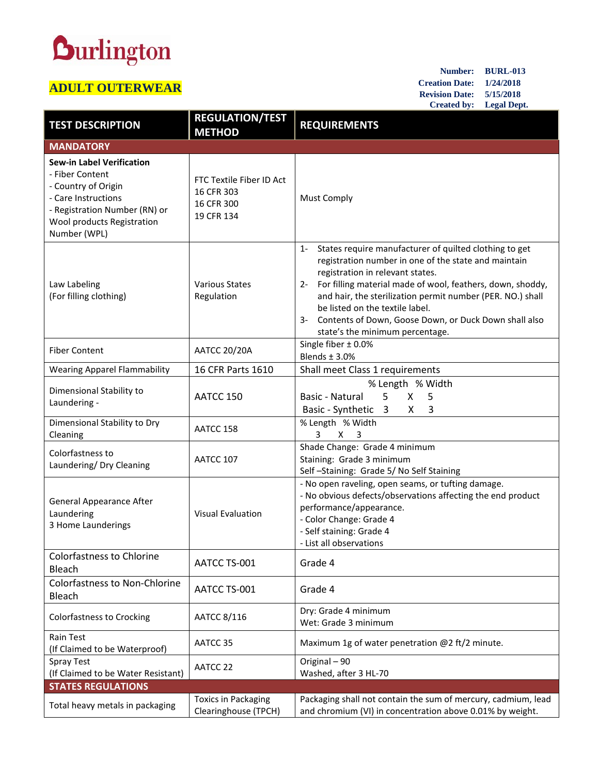## **Durlington**

## **ADULT OUTERWEAR**

**Number: BURL-013 Creation Date: 1/24/2018 Revision Date: 5/15/2018 Created by: Legal Dept.**

| <b>TEST DESCRIPTION</b>                                                                                                                                                          | <b>REGULATION/TEST</b><br><b>METHOD</b>                            | <b>REQUIREMENTS</b>                                                                                                                                                                                                                                                                                                                                                                                                                   |
|----------------------------------------------------------------------------------------------------------------------------------------------------------------------------------|--------------------------------------------------------------------|---------------------------------------------------------------------------------------------------------------------------------------------------------------------------------------------------------------------------------------------------------------------------------------------------------------------------------------------------------------------------------------------------------------------------------------|
| <b>MANDATORY</b>                                                                                                                                                                 |                                                                    |                                                                                                                                                                                                                                                                                                                                                                                                                                       |
| <b>Sew-in Label Verification</b><br>- Fiber Content<br>- Country of Origin<br>- Care Instructions<br>- Registration Number (RN) or<br>Wool products Registration<br>Number (WPL) | FTC Textile Fiber ID Act<br>16 CFR 303<br>16 CFR 300<br>19 CFR 134 | <b>Must Comply</b>                                                                                                                                                                                                                                                                                                                                                                                                                    |
| Law Labeling<br>(For filling clothing)                                                                                                                                           | <b>Various States</b><br>Regulation                                | States require manufacturer of quilted clothing to get<br>$1 -$<br>registration number in one of the state and maintain<br>registration in relevant states.<br>For filling material made of wool, feathers, down, shoddy,<br>$2 -$<br>and hair, the sterilization permit number (PER. NO.) shall<br>be listed on the textile label.<br>Contents of Down, Goose Down, or Duck Down shall also<br>3-<br>state's the minimum percentage. |
| <b>Fiber Content</b>                                                                                                                                                             | <b>AATCC 20/20A</b>                                                | Single fiber $\pm$ 0.0%<br>Blends $±$ 3.0%                                                                                                                                                                                                                                                                                                                                                                                            |
| <b>Wearing Apparel Flammability</b>                                                                                                                                              | 16 CFR Parts 1610                                                  | Shall meet Class 1 requirements                                                                                                                                                                                                                                                                                                                                                                                                       |
| Dimensional Stability to<br>Laundering -                                                                                                                                         | AATCC 150                                                          | % Length % Width<br>5<br>X<br>Basic - Natural<br>5<br>Basic - Synthetic 3<br>X<br>3                                                                                                                                                                                                                                                                                                                                                   |
| Dimensional Stability to Dry<br>Cleaning                                                                                                                                         | AATCC 158                                                          | % Length % Width<br>3<br>X <sub>3</sub>                                                                                                                                                                                                                                                                                                                                                                                               |
| Colorfastness to<br>Laundering/ Dry Cleaning                                                                                                                                     | AATCC 107                                                          | Shade Change: Grade 4 minimum<br>Staining: Grade 3 minimum<br>Self-Staining: Grade 5/No Self Staining                                                                                                                                                                                                                                                                                                                                 |
| General Appearance After<br>Laundering<br>3 Home Launderings                                                                                                                     | <b>Visual Evaluation</b>                                           | - No open raveling, open seams, or tufting damage.<br>- No obvious defects/observations affecting the end product<br>performance/appearance.<br>- Color Change: Grade 4<br>- Self staining: Grade 4<br>- List all observations                                                                                                                                                                                                        |
| <b>Colorfastness to Chlorine</b><br>Bleach                                                                                                                                       | AATCC TS-001                                                       | Grade 4                                                                                                                                                                                                                                                                                                                                                                                                                               |
| <b>Colorfastness to Non-Chlorine</b><br>Bleach                                                                                                                                   | AATCC TS-001                                                       | Grade 4                                                                                                                                                                                                                                                                                                                                                                                                                               |
| Colorfastness to Crocking                                                                                                                                                        | AATCC 8/116                                                        | Dry: Grade 4 minimum<br>Wet: Grade 3 minimum                                                                                                                                                                                                                                                                                                                                                                                          |
| Rain Test<br>(If Claimed to be Waterproof)                                                                                                                                       | AATCC 35                                                           | Maximum 1g of water penetration @2 ft/2 minute.                                                                                                                                                                                                                                                                                                                                                                                       |
| <b>Spray Test</b><br>(If Claimed to be Water Resistant)                                                                                                                          | AATCC 22                                                           | Original - 90<br>Washed, after 3 HL-70                                                                                                                                                                                                                                                                                                                                                                                                |
| <b>STATES REGULATIONS</b>                                                                                                                                                        |                                                                    |                                                                                                                                                                                                                                                                                                                                                                                                                                       |
| Total heavy metals in packaging                                                                                                                                                  | <b>Toxics in Packaging</b><br>Clearinghouse (TPCH)                 | Packaging shall not contain the sum of mercury, cadmium, lead<br>and chromium (VI) in concentration above 0.01% by weight.                                                                                                                                                                                                                                                                                                            |